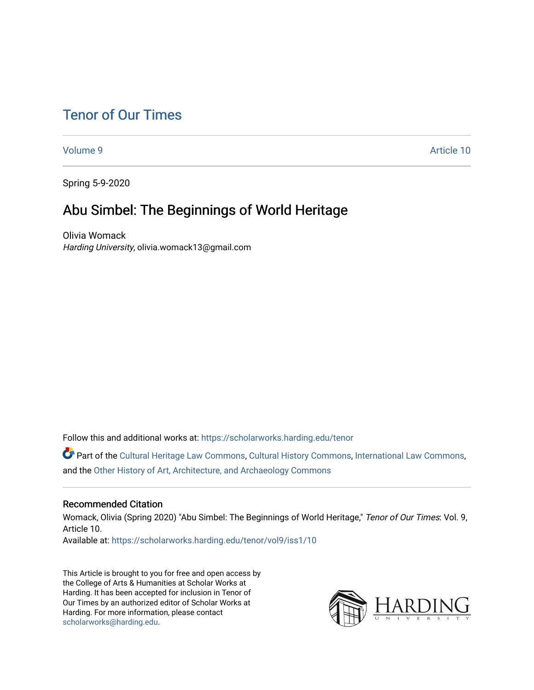[Volume 9](https://scholarworks.harding.edu/tenor/vol9) Article 10

Spring 5-9-2020

# Abu Simbel: The Beginnings of World Heritage

Olivia Womack Harding University, olivia.womack13@gmail.com

Follow this and additional works at: [https://scholarworks.harding.edu/tenor](https://scholarworks.harding.edu/tenor?utm_source=scholarworks.harding.edu%2Ftenor%2Fvol9%2Fiss1%2F10&utm_medium=PDF&utm_campaign=PDFCoverPages)

Part of the [Cultural Heritage Law Commons](http://network.bepress.com/hgg/discipline/1384?utm_source=scholarworks.harding.edu%2Ftenor%2Fvol9%2Fiss1%2F10&utm_medium=PDF&utm_campaign=PDFCoverPages), [Cultural History Commons,](http://network.bepress.com/hgg/discipline/496?utm_source=scholarworks.harding.edu%2Ftenor%2Fvol9%2Fiss1%2F10&utm_medium=PDF&utm_campaign=PDFCoverPages) [International Law Commons,](http://network.bepress.com/hgg/discipline/609?utm_source=scholarworks.harding.edu%2Ftenor%2Fvol9%2Fiss1%2F10&utm_medium=PDF&utm_campaign=PDFCoverPages) and the [Other History of Art, Architecture, and Archaeology Commons](http://network.bepress.com/hgg/discipline/517?utm_source=scholarworks.harding.edu%2Ftenor%2Fvol9%2Fiss1%2F10&utm_medium=PDF&utm_campaign=PDFCoverPages) 

#### Recommended Citation

Womack, Olivia (Spring 2020) "Abu Simbel: The Beginnings of World Heritage," Tenor of Our Times: Vol. 9, Article 10.

Available at: [https://scholarworks.harding.edu/tenor/vol9/iss1/10](https://scholarworks.harding.edu/tenor/vol9/iss1/10?utm_source=scholarworks.harding.edu%2Ftenor%2Fvol9%2Fiss1%2F10&utm_medium=PDF&utm_campaign=PDFCoverPages)

This Article is brought to you for free and open access by the College of Arts & Humanities at Scholar Works at Harding. It has been accepted for inclusion in Tenor of Our Times by an authorized editor of Scholar Works at Harding. For more information, please contact [scholarworks@harding.edu](mailto:scholarworks@harding.edu).

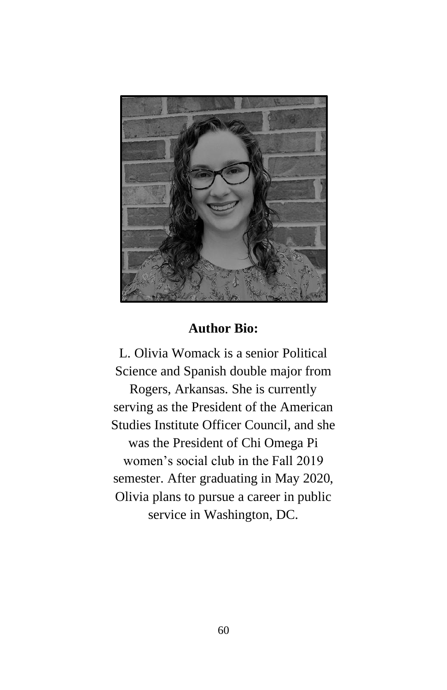

# **Author Bio:**

L. Olivia Womack is a senior Political Science and Spanish double major from Rogers, Arkansas. She is currently serving as the President of the American Studies Institute Officer Council, and she was the President of Chi Omega Pi women's social club in the Fall 2019 semester. After graduating in May 2020, Olivia plans to pursue a career in public service in Washington, DC.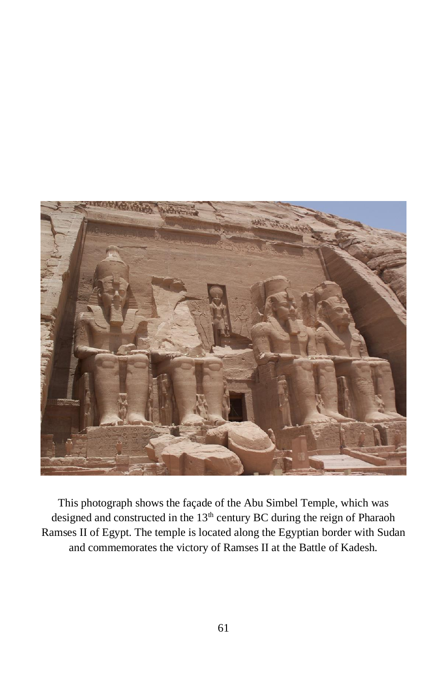

This photograph shows the façade of the Abu Simbel Temple, which was designed and constructed in the 13<sup>th</sup> century BC during the reign of Pharaoh Ramses II of Egypt. The temple is located along the Egyptian border with Sudan and commemorates the victory of Ramses II at the Battle of Kadesh.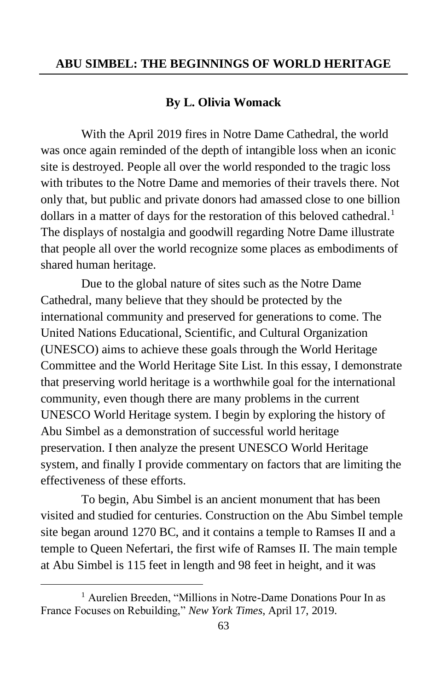#### **By L. Olivia Womack**

With the April 2019 fires in Notre Dame Cathedral, the world was once again reminded of the depth of intangible loss when an iconic site is destroyed. People all over the world responded to the tragic loss with tributes to the Notre Dame and memories of their travels there. Not only that, but public and private donors had amassed close to one billion dollars in a matter of days for the restoration of this beloved cathedral.<sup>1</sup> The displays of nostalgia and goodwill regarding Notre Dame illustrate that people all over the world recognize some places as embodiments of shared human heritage.

Due to the global nature of sites such as the Notre Dame Cathedral, many believe that they should be protected by the international community and preserved for generations to come. The United Nations Educational, Scientific, and Cultural Organization (UNESCO) aims to achieve these goals through the World Heritage Committee and the World Heritage Site List. In this essay, I demonstrate that preserving world heritage is a worthwhile goal for the international community, even though there are many problems in the current UNESCO World Heritage system. I begin by exploring the history of Abu Simbel as a demonstration of successful world heritage preservation. I then analyze the present UNESCO World Heritage system, and finally I provide commentary on factors that are limiting the effectiveness of these efforts.

To begin, Abu Simbel is an ancient monument that has been visited and studied for centuries. Construction on the Abu Simbel temple site began around 1270 BC, and it contains a temple to Ramses II and a temple to Queen Nefertari, the first wife of Ramses II. The main temple at Abu Simbel is 115 feet in length and 98 feet in height, and it was

<sup>&</sup>lt;sup>1</sup> Aurelien Breeden, "Millions in Notre-Dame Donations Pour In as France Focuses on Rebuilding," *New York Times*, April 17, 2019.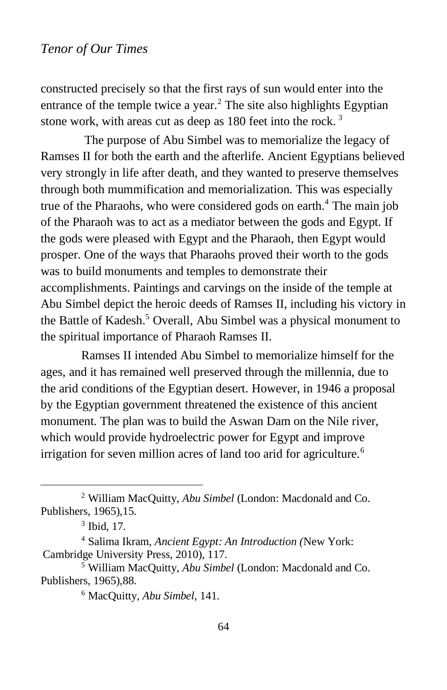constructed precisely so that the first rays of sun would enter into the entrance of the temple twice a year.<sup>2</sup> The site also highlights Egyptian stone work, with areas cut as deep as 180 feet into the rock. <sup>3</sup>

The purpose of Abu Simbel was to memorialize the legacy of Ramses II for both the earth and the afterlife. Ancient Egyptians believed very strongly in life after death, and they wanted to preserve themselves through both mummification and memorialization. This was especially true of the Pharaohs, who were considered gods on earth.<sup>4</sup> The main job of the Pharaoh was to act as a mediator between the gods and Egypt. If the gods were pleased with Egypt and the Pharaoh, then Egypt would prosper. One of the ways that Pharaohs proved their worth to the gods was to build monuments and temples to demonstrate their accomplishments. Paintings and carvings on the inside of the temple at Abu Simbel depict the heroic deeds of Ramses II, including his victory in the Battle of Kadesh.<sup>5</sup> Overall, Abu Simbel was a physical monument to the spiritual importance of Pharaoh Ramses II.

Ramses II intended Abu Simbel to memorialize himself for the ages, and it has remained well preserved through the millennia, due to the arid conditions of the Egyptian desert. However, in 1946 a proposal by the Egyptian government threatened the existence of this ancient monument. The plan was to build the Aswan Dam on the Nile river, which would provide hydroelectric power for Egypt and improve irrigation for seven million acres of land too arid for agriculture.<sup>6</sup>

<sup>2</sup> William MacQuitty, *Abu Simbel* (London: Macdonald and Co. Publishers, 1965),15.

<sup>3</sup> Ibid, 17.

<sup>4</sup> Salima Ikram, *Ancient Egypt: An Introduction (*New York: Cambridge University Press, 2010), 117.

<sup>5</sup> William MacQuitty, *Abu Simbel* (London: Macdonald and Co. Publishers, 1965),88.

<sup>6</sup> MacQuitty, *Abu Simbel*, 141.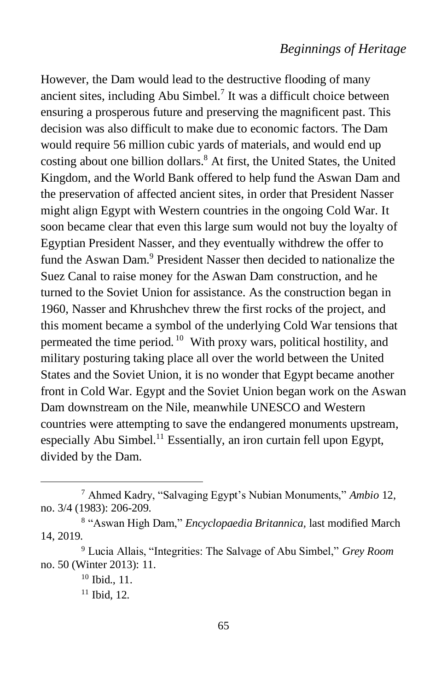# *Beginnings of Heritage*

However, the Dam would lead to the destructive flooding of many ancient sites, including Abu Simbel.<sup>7</sup> It was a difficult choice between ensuring a prosperous future and preserving the magnificent past. This decision was also difficult to make due to economic factors. The Dam would require 56 million cubic yards of materials, and would end up costing about one billion dollars.<sup>8</sup> At first, the United States, the United Kingdom, and the World Bank offered to help fund the Aswan Dam and the preservation of affected ancient sites, in order that President Nasser might align Egypt with Western countries in the ongoing Cold War. It soon became clear that even this large sum would not buy the loyalty of Egyptian President Nasser, and they eventually withdrew the offer to fund the Aswan Dam.<sup>9</sup> President Nasser then decided to nationalize the Suez Canal to raise money for the Aswan Dam construction, and he turned to the Soviet Union for assistance. As the construction began in 1960, Nasser and Khrushchev threw the first rocks of the project, and this moment became a symbol of the underlying Cold War tensions that permeated the time period.<sup>10</sup> With proxy wars, political hostility, and military posturing taking place all over the world between the United States and the Soviet Union, it is no wonder that Egypt became another front in Cold War. Egypt and the Soviet Union began work on the Aswan Dam downstream on the Nile, meanwhile UNESCO and Western countries were attempting to save the endangered monuments upstream, especially Abu Simbel.<sup>11</sup> Essentially, an iron curtain fell upon Egypt, divided by the Dam.

<sup>7</sup> Ahmed Kadry, "Salvaging Egypt's Nubian Monuments," *Ambio* 12, no. 3/4 (1983): 206-209.

<sup>8</sup> "Aswan High Dam," *Encyclopaedia Britannica,* last modified March 14, 2019.

<sup>9</sup> Lucia Allais, "Integrities: The Salvage of Abu Simbel," *Grey Room* no. 50 (Winter 2013): 11.

<sup>10</sup> Ibid., 11.

<sup>11</sup> Ibid*,* 12.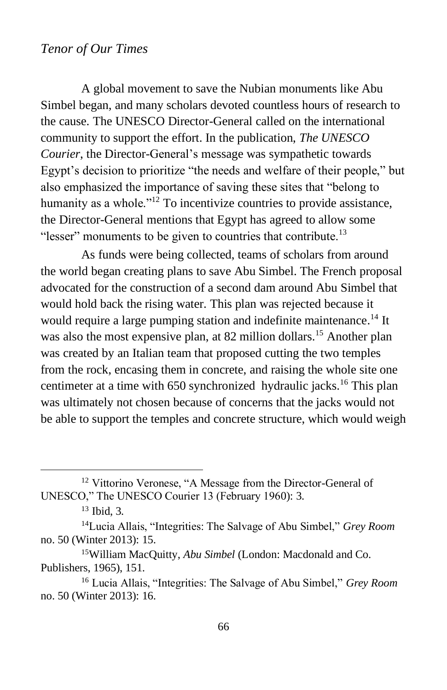A global movement to save the Nubian monuments like Abu Simbel began, and many scholars devoted countless hours of research to the cause. The UNESCO Director-General called on the international community to support the effort. In the publication, *The UNESCO Courier*, the Director-General's message was sympathetic towards Egypt's decision to prioritize "the needs and welfare of their people," but also emphasized the importance of saving these sites that "belong to humanity as a whole."<sup>12</sup> To incentivize countries to provide assistance, the Director-General mentions that Egypt has agreed to allow some "lesser" monuments to be given to countries that contribute. $^{13}$ 

As funds were being collected, teams of scholars from around the world began creating plans to save Abu Simbel. The French proposal advocated for the construction of a second dam around Abu Simbel that would hold back the rising water. This plan was rejected because it would require a large pumping station and indefinite maintenance.<sup>14</sup> It was also the most expensive plan, at 82 million dollars.<sup>15</sup> Another plan was created by an Italian team that proposed cutting the two temples from the rock, encasing them in concrete, and raising the whole site one centimeter at a time with 650 synchronized hydraulic jacks.<sup>16</sup> This plan was ultimately not chosen because of concerns that the jacks would not be able to support the temples and concrete structure, which would weigh

<sup>&</sup>lt;sup>12</sup> Vittorino Veronese, "A Message from the Director-General of UNESCO," The UNESCO Courier 13 (February 1960): 3.

<sup>13</sup> Ibid, 3*.*

<sup>14</sup>Lucia Allais, "Integrities: The Salvage of Abu Simbel," *Grey Room* no. 50 (Winter 2013): 15.

<sup>15</sup>William MacQuitty, *Abu Simbel* (London: Macdonald and Co. Publishers, 1965), 151.

<sup>16</sup> Lucia Allais, "Integrities: The Salvage of Abu Simbel," *Grey Room* no. 50 (Winter 2013): 16.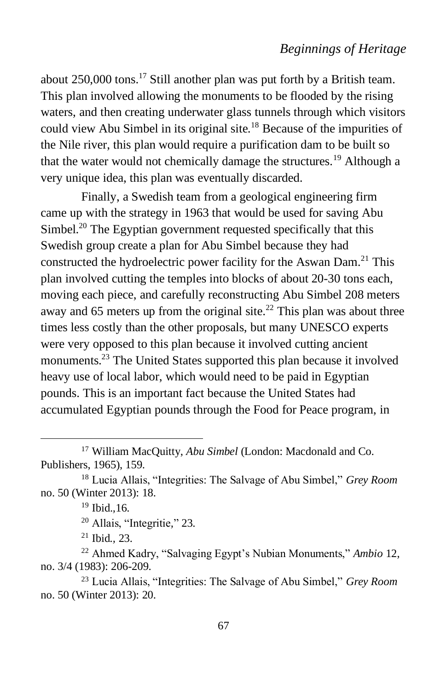# *Beginnings of Heritage*

about 250,000 tons.<sup>17</sup> Still another plan was put forth by a British team. This plan involved allowing the monuments to be flooded by the rising waters, and then creating underwater glass tunnels through which visitors could view Abu Simbel in its original site.<sup>18</sup> Because of the impurities of the Nile river, this plan would require a purification dam to be built so that the water would not chemically damage the structures.<sup>19</sup> Although a very unique idea, this plan was eventually discarded.

Finally, a Swedish team from a geological engineering firm came up with the strategy in 1963 that would be used for saving Abu Simbel.<sup>20</sup> The Egyptian government requested specifically that this Swedish group create a plan for Abu Simbel because they had constructed the hydroelectric power facility for the Aswan Dam.<sup>21</sup> This plan involved cutting the temples into blocks of about 20-30 tons each, moving each piece, and carefully reconstructing Abu Simbel 208 meters away and 65 meters up from the original site.<sup>22</sup> This plan was about three times less costly than the other proposals, but many UNESCO experts were very opposed to this plan because it involved cutting ancient monuments.<sup>23</sup> The United States supported this plan because it involved heavy use of local labor, which would need to be paid in Egyptian pounds. This is an important fact because the United States had accumulated Egyptian pounds through the Food for Peace program, in

<sup>17</sup> William MacQuitty, *Abu Simbel* (London: Macdonald and Co. Publishers, 1965), 159.

<sup>18</sup> Lucia Allais, "Integrities: The Salvage of Abu Simbel," *Grey Room* no. 50 (Winter 2013): 18.

<sup>19</sup> Ibid.*,*16.

<sup>20</sup> Allais, "Integritie*,*" 23.

<sup>21</sup> Ibid*.,* 23.

<sup>22</sup> Ahmed Kadry, "Salvaging Egypt's Nubian Monuments," *Ambio* 12, no. 3/4 (1983): 206-209.

<sup>23</sup> Lucia Allais, "Integrities: The Salvage of Abu Simbel," *Grey Room* no. 50 (Winter 2013): 20.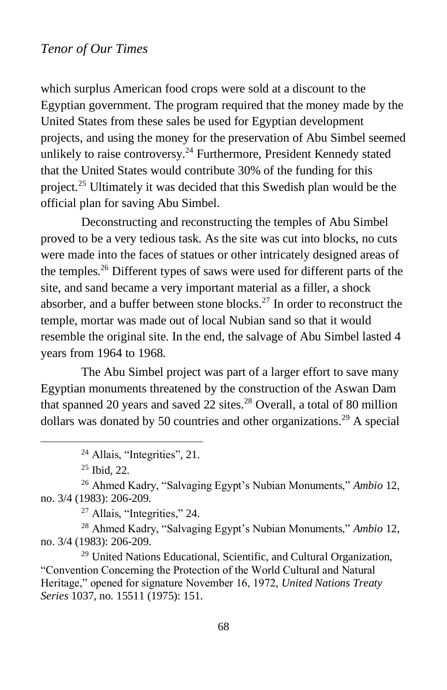which surplus American food crops were sold at a discount to the Egyptian government. The program required that the money made by the United States from these sales be used for Egyptian development projects, and using the money for the preservation of Abu Simbel seemed unlikely to raise controversy. $^{24}$  Furthermore, President Kennedy stated that the United States would contribute 30% of the funding for this project.<sup>25</sup> Ultimately it was decided that this Swedish plan would be the official plan for saving Abu Simbel.

Deconstructing and reconstructing the temples of Abu Simbel proved to be a very tedious task. As the site was cut into blocks, no cuts were made into the faces of statues or other intricately designed areas of the temples.<sup>26</sup> Different types of saws were used for different parts of the site, and sand became a very important material as a filler, a shock absorber, and a buffer between stone blocks. $^{27}$  In order to reconstruct the temple, mortar was made out of local Nubian sand so that it would resemble the original site. In the end, the salvage of Abu Simbel lasted 4 years from 1964 to 1968.

The Abu Simbel project was part of a larger effort to save many Egyptian monuments threatened by the construction of the Aswan Dam that spanned 20 years and saved 22 sites.<sup>28</sup> Overall, a total of 80 million dollars was donated by 50 countries and other organizations.<sup>29</sup> A special

<sup>24</sup> Allais, "Integrities"*,* 21.

<sup>25</sup> Ibid*,* 22.

<sup>26</sup> Ahmed Kadry, "Salvaging Egypt's Nubian Monuments," *Ambio* 12, no. 3/4 (1983): 206-209.

 $27$  Allais, "Integrities," 24.

<sup>28</sup> Ahmed Kadry, "Salvaging Egypt's Nubian Monuments," *Ambio* 12, no. 3/4 (1983): 206-209.

<sup>29</sup> United Nations Educational, Scientific, and Cultural Organization, "Convention Concerning the Protection of the World Cultural and Natural Heritage," opened for signature November 16, 1972, *United Nations Treaty Series* 1037, no. 15511 (1975): 151.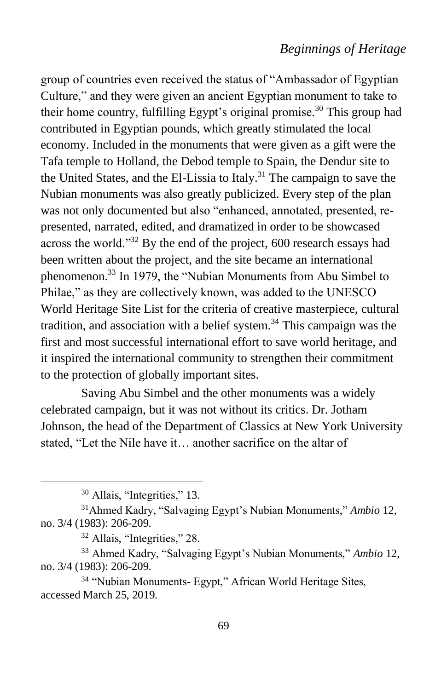group of countries even received the status of "Ambassador of Egyptian Culture," and they were given an ancient Egyptian monument to take to their home country, fulfilling Egypt's original promise.<sup>30</sup> This group had contributed in Egyptian pounds, which greatly stimulated the local economy. Included in the monuments that were given as a gift were the Tafa temple to Holland, the Debod temple to Spain, the Dendur site to the United States, and the El-Lissia to Italy.<sup>31</sup> The campaign to save the Nubian monuments was also greatly publicized. Every step of the plan was not only documented but also "enhanced, annotated, presented, represented, narrated, edited, and dramatized in order to be showcased across the world."<sup>32</sup> By the end of the project, 600 research essays had been written about the project, and the site became an international phenomenon.<sup>33</sup> In 1979, the "Nubian Monuments from Abu Simbel to Philae," as they are collectively known, was added to the UNESCO World Heritage Site List for the criteria of creative masterpiece, cultural tradition, and association with a belief system.<sup>34</sup> This campaign was the first and most successful international effort to save world heritage, and it inspired the international community to strengthen their commitment to the protection of globally important sites.

Saving Abu Simbel and the other monuments was a widely celebrated campaign, but it was not without its critics. Dr. Jotham Johnson, the head of the Department of Classics at New York University stated, "Let the Nile have it… another sacrifice on the altar of

<sup>30</sup> Allais, "Integrities," 13.

<sup>31</sup>Ahmed Kadry, "Salvaging Egypt's Nubian Monuments," *Ambio* 12, no. 3/4 (1983): 206-209.

<sup>32</sup> Allais, "Integrities," 28.

<sup>33</sup> Ahmed Kadry, "Salvaging Egypt's Nubian Monuments," *Ambio* 12, no. 3/4 (1983): 206-209.

<sup>34</sup> "Nubian Monuments- Egypt," African World Heritage Sites, accessed March 25, 2019.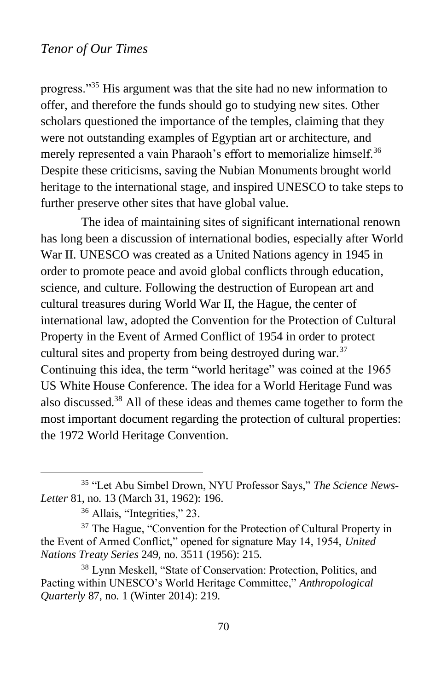progress."<sup>35</sup> His argument was that the site had no new information to offer, and therefore the funds should go to studying new sites. Other scholars questioned the importance of the temples, claiming that they were not outstanding examples of Egyptian art or architecture, and merely represented a vain Pharaoh's effort to memorialize himself.<sup>36</sup> Despite these criticisms, saving the Nubian Monuments brought world heritage to the international stage, and inspired UNESCO to take steps to further preserve other sites that have global value.

The idea of maintaining sites of significant international renown has long been a discussion of international bodies, especially after World War II. UNESCO was created as a United Nations agency in 1945 in order to promote peace and avoid global conflicts through education, science, and culture. Following the destruction of European art and cultural treasures during World War II, the Hague, the center of international law, adopted the Convention for the Protection of Cultural Property in the Event of Armed Conflict of 1954 in order to protect cultural sites and property from being destroyed during war.<sup>37</sup> Continuing this idea, the term "world heritage" was coined at the 1965 US White House Conference. The idea for a World Heritage Fund was also discussed.<sup>38</sup> All of these ideas and themes came together to form the most important document regarding the protection of cultural properties: the 1972 World Heritage Convention.

<sup>35</sup> "Let Abu Simbel Drown, NYU Professor Says," *The Science News-Letter* 81, no. 13 (March 31, 1962): 196.

<sup>36</sup> Allais, "Integrities," 23.

<sup>&</sup>lt;sup>37</sup> The Hague, "Convention for the Protection of Cultural Property in the Event of Armed Conflict," opened for signature May 14, 1954, *United Nations Treaty Series* 249, no. 3511 (1956): 215.

<sup>38</sup> Lynn Meskell, "State of Conservation: Protection, Politics, and Pacting within UNESCO's World Heritage Committee," *Anthropological Quarterly* 87, no. 1 (Winter 2014): 219.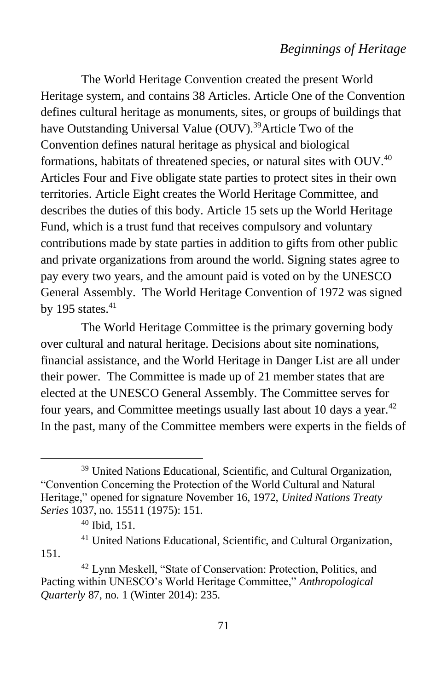The World Heritage Convention created the present World Heritage system, and contains 38 Articles. Article One of the Convention defines cultural heritage as monuments, sites, or groups of buildings that have Outstanding Universal Value (OUV).<sup>39</sup>Article Two of the Convention defines natural heritage as physical and biological formations, habitats of threatened species, or natural sites with OUV.<sup>40</sup> Articles Four and Five obligate state parties to protect sites in their own territories. Article Eight creates the World Heritage Committee, and describes the duties of this body. Article 15 sets up the World Heritage Fund, which is a trust fund that receives compulsory and voluntary contributions made by state parties in addition to gifts from other public and private organizations from around the world. Signing states agree to pay every two years, and the amount paid is voted on by the UNESCO General Assembly. The World Heritage Convention of 1972 was signed by 195 states. $41$ 

The World Heritage Committee is the primary governing body over cultural and natural heritage. Decisions about site nominations, financial assistance, and the World Heritage in Danger List are all under their power. The Committee is made up of 21 member states that are elected at the UNESCO General Assembly. The Committee serves for four years, and Committee meetings usually last about 10 days a year.<sup>42</sup> In the past, many of the Committee members were experts in the fields of

<sup>41</sup> United Nations Educational, Scientific, and Cultural Organization,

151.

<sup>&</sup>lt;sup>39</sup> United Nations Educational, Scientific, and Cultural Organization, "Convention Concerning the Protection of the World Cultural and Natural Heritage," opened for signature November 16, 1972, *United Nations Treaty Series* 1037, no. 15511 (1975): 151.

<sup>40</sup> Ibid, 151.

<sup>42</sup> Lynn Meskell, "State of Conservation: Protection, Politics, and Pacting within UNESCO's World Heritage Committee," *Anthropological Quarterly* 87, no. 1 (Winter 2014): 235.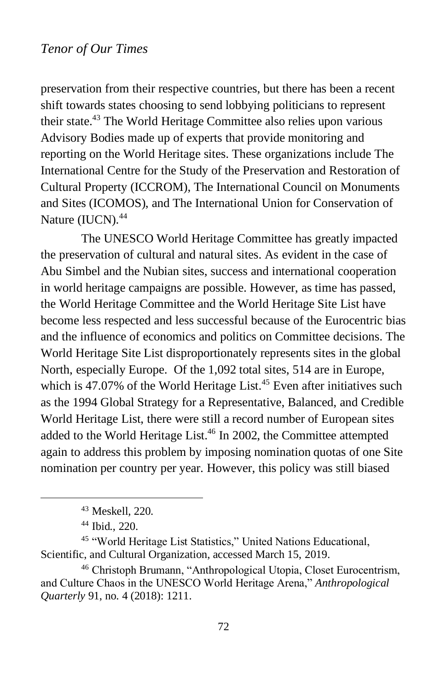preservation from their respective countries, but there has been a recent shift towards states choosing to send lobbying politicians to represent their state.<sup>43</sup> The World Heritage Committee also relies upon various Advisory Bodies made up of experts that provide monitoring and reporting on the World Heritage sites. These organizations include The International Centre for the Study of the Preservation and Restoration of Cultural Property (ICCROM), The International Council on Monuments and Sites (ICOMOS), and The International Union for Conservation of Nature (IUCN).<sup>44</sup>

The UNESCO World Heritage Committee has greatly impacted the preservation of cultural and natural sites. As evident in the case of Abu Simbel and the Nubian sites, success and international cooperation in world heritage campaigns are possible. However, as time has passed, the World Heritage Committee and the World Heritage Site List have become less respected and less successful because of the Eurocentric bias and the influence of economics and politics on Committee decisions. The World Heritage Site List disproportionately represents sites in the global North, especially Europe. Of the 1,092 total sites, 514 are in Europe, which is 47.07% of the World Heritage List. $45$  Even after initiatives such as the 1994 Global Strategy for a Representative, Balanced, and Credible World Heritage List, there were still a record number of European sites added to the World Heritage List.<sup>46</sup> In 2002, the Committee attempted again to address this problem by imposing nomination quotas of one Site nomination per country per year. However, this policy was still biased

<sup>45</sup> "World Heritage List Statistics," United Nations Educational, Scientific, and Cultural Organization, accessed March 15, 2019.

<sup>43</sup> Meskell*,* 220.

<sup>44</sup> Ibid*.*, 220.

<sup>46</sup> Christoph Brumann, "Anthropological Utopia, Closet Eurocentrism, and Culture Chaos in the UNESCO World Heritage Arena," *Anthropological Quarterly* 91, no. 4 (2018): 1211.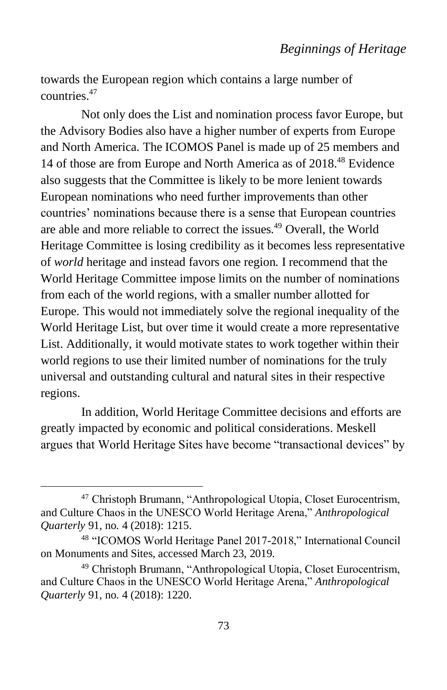towards the European region which contains a large number of countries.<sup>47</sup>

Not only does the List and nomination process favor Europe, but the Advisory Bodies also have a higher number of experts from Europe and North America. The ICOMOS Panel is made up of 25 members and 14 of those are from Europe and North America as of 2018.<sup>48</sup> Evidence also suggests that the Committee is likely to be more lenient towards European nominations who need further improvements than other countries' nominations because there is a sense that European countries are able and more reliable to correct the issues.<sup>49</sup> Overall, the World Heritage Committee is losing credibility as it becomes less representative of *world* heritage and instead favors one region. I recommend that the World Heritage Committee impose limits on the number of nominations from each of the world regions, with a smaller number allotted for Europe. This would not immediately solve the regional inequality of the World Heritage List, but over time it would create a more representative List. Additionally, it would motivate states to work together within their world regions to use their limited number of nominations for the truly universal and outstanding cultural and natural sites in their respective regions.

In addition, World Heritage Committee decisions and efforts are greatly impacted by economic and political considerations. Meskell argues that World Heritage Sites have become "transactional devices" by

<sup>47</sup> Christoph Brumann, "Anthropological Utopia, Closet Eurocentrism, and Culture Chaos in the UNESCO World Heritage Arena," *Anthropological Quarterly* 91, no. 4 (2018): 1215.

<sup>48</sup> "ICOMOS World Heritage Panel 2017-2018," International Council on Monuments and Sites, accessed March 23, 2019.

<sup>49</sup> Christoph Brumann, "Anthropological Utopia, Closet Eurocentrism, and Culture Chaos in the UNESCO World Heritage Arena," *Anthropological Quarterly* 91, no. 4 (2018): 1220.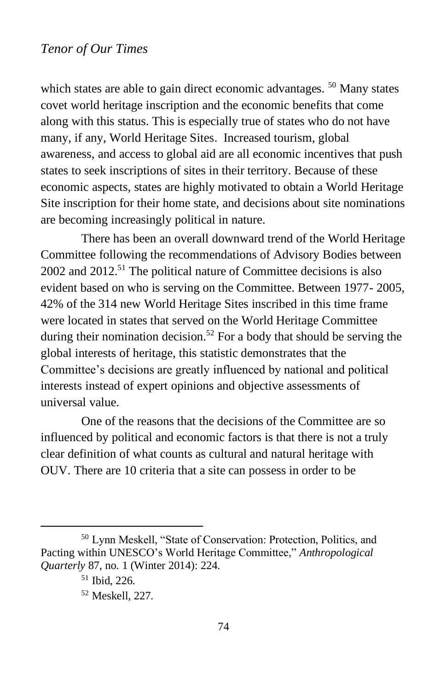which states are able to gain direct economic advantages.<sup>50</sup> Many states covet world heritage inscription and the economic benefits that come along with this status. This is especially true of states who do not have many, if any, World Heritage Sites. Increased tourism, global awareness, and access to global aid are all economic incentives that push states to seek inscriptions of sites in their territory. Because of these economic aspects, states are highly motivated to obtain a World Heritage Site inscription for their home state, and decisions about site nominations are becoming increasingly political in nature.

There has been an overall downward trend of the World Heritage Committee following the recommendations of Advisory Bodies between 2002 and 2012.<sup>51</sup> The political nature of Committee decisions is also evident based on who is serving on the Committee. Between 1977- 2005, 42% of the 314 new World Heritage Sites inscribed in this time frame were located in states that served on the World Heritage Committee during their nomination decision.<sup>52</sup> For a body that should be serving the global interests of heritage, this statistic demonstrates that the Committee's decisions are greatly influenced by national and political interests instead of expert opinions and objective assessments of universal value.

One of the reasons that the decisions of the Committee are so influenced by political and economic factors is that there is not a truly clear definition of what counts as cultural and natural heritage with OUV. There are 10 criteria that a site can possess in order to be

<sup>50</sup> Lynn Meskell, "State of Conservation: Protection, Politics, and Pacting within UNESCO's World Heritage Committee," *Anthropological Quarterly* 87, no. 1 (Winter 2014): 224.

<sup>51</sup> Ibid, 226.

<sup>52</sup> Meskell*,* 227.